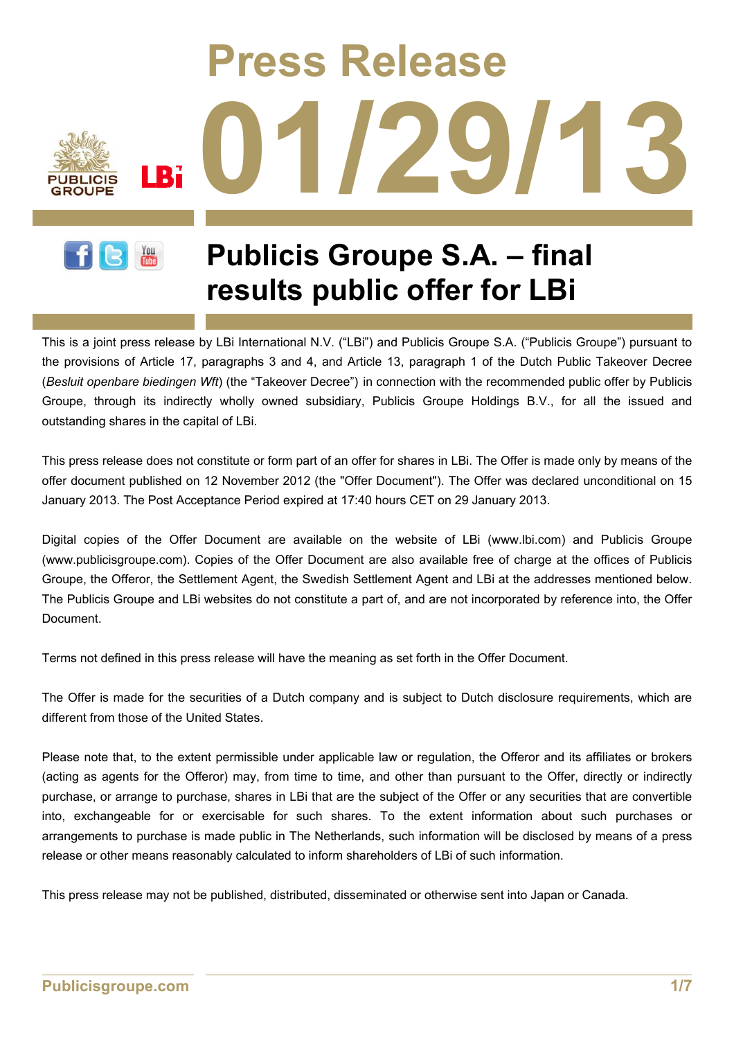# **Press Release 01/29/13 LBi BLICIS** You

# **Publicis Groupe S.A. – final results public offer for LBi**

This is a joint press release by LBi International N.V. ("LBi") and Publicis Groupe S.A. ("Publicis Groupe") pursuant to the provisions of Article 17, paragraphs 3 and 4, and Article 13, paragraph 1 of the Dutch Public Takeover Decree (*Besluit openbare biedingen Wft*) (the "Takeover Decree") in connection with the recommended public offer by Publicis Groupe, through its indirectly wholly owned subsidiary, Publicis Groupe Holdings B.V., for all the issued and outstanding shares in the capital of LBi.

This press release does not constitute or form part of an offer for shares in LBi. The Offer is made only by means of the offer document published on 12 November 2012 (the "Offer Document"). The Offer was declared unconditional on 15 January 2013. The Post Acceptance Period expired at 17:40 hours CET on 29 January 2013.

Digital copies of the Offer Document are available on the website of LBi (www.lbi.com) and Publicis Groupe (www.publicisgroupe.com). Copies of the Offer Document are also available free of charge at the offices of Publicis Groupe, the Offeror, the Settlement Agent, the Swedish Settlement Agent and LBi at the addresses mentioned below. The Publicis Groupe and LBi websites do not constitute a part of, and are not incorporated by reference into, the Offer Document.

Terms not defined in this press release will have the meaning as set forth in the Offer Document.

The Offer is made for the securities of a Dutch company and is subject to Dutch disclosure requirements, which are different from those of the United States.

Please note that, to the extent permissible under applicable law or regulation, the Offeror and its affiliates or brokers (acting as agents for the Offeror) may, from time to time, and other than pursuant to the Offer, directly or indirectly purchase, or arrange to purchase, shares in LBi that are the subject of the Offer or any securities that are convertible into, exchangeable for or exercisable for such shares. To the extent information about such purchases or arrangements to purchase is made public in The Netherlands, such information will be disclosed by means of a press release or other means reasonably calculated to inform shareholders of LBi of such information.

This press release may not be published, distributed, disseminated or otherwise sent into Japan or Canada.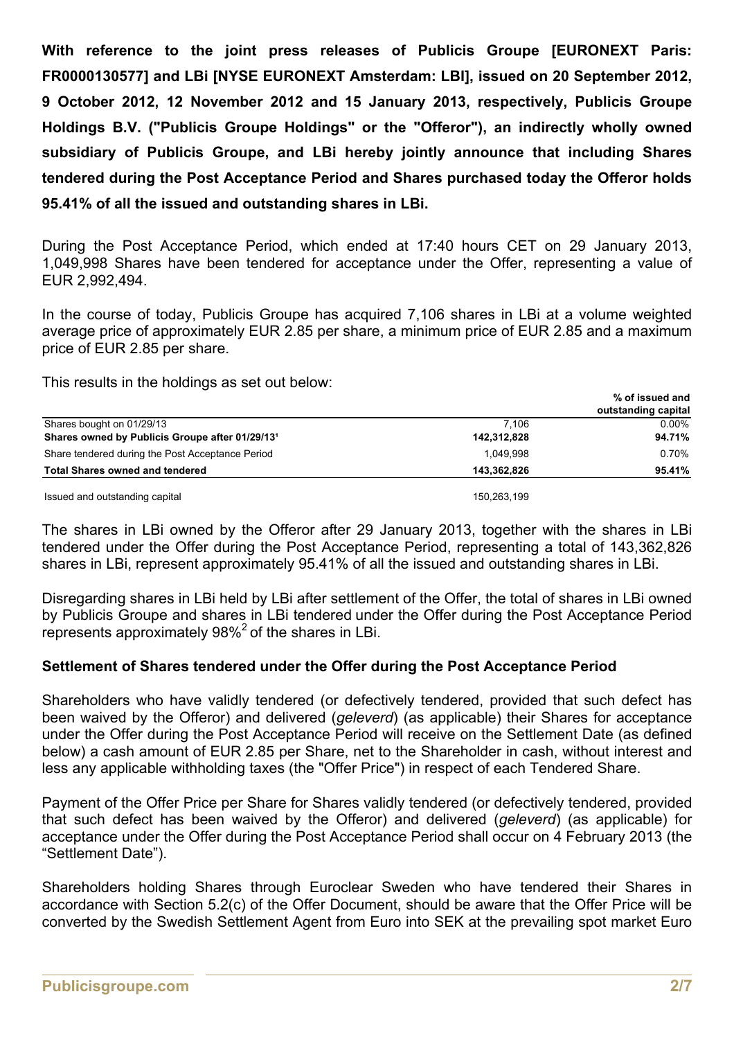**With reference to the joint press releases of Publicis Groupe [EURONEXT Paris: FR0000130577] and LBi [NYSE EURONEXT Amsterdam: LBI], issued on 20 September 2012, 9 October 2012, 12 November 2012 and 15 January 2013, respectively, Publicis Groupe Holdings B.V. ("Publicis Groupe Holdings" or the "Offeror"), an indirectly wholly owned subsidiary of Publicis Groupe, and LBi hereby jointly announce that including Shares tendered during the Post Acceptance Period and Shares purchased today the Offeror holds 95.41% of all the issued and outstanding shares in LBi.** 

During the Post Acceptance Period, which ended at 17:40 hours CET on 29 January 2013, 1,049,998 Shares have been tendered for acceptance under the Offer, representing a value of EUR 2,992,494.

In the course of today, Publicis Groupe has acquired 7,106 shares in LBi at a volume weighted average price of approximately EUR 2.85 per share, a minimum price of EUR 2.85 and a maximum price of EUR 2.85 per share.

This results in the holdings as set out below:

|             | % of issued and     |
|-------------|---------------------|
|             | outstanding capital |
| 7.106       | $0.00\%$            |
| 142,312,828 | 94.71%              |
| 1.049.998   | 0.70%               |
| 143.362.826 | 95.41%              |
|             |                     |

Issued and outstanding capital 150,263,199

The shares in LBi owned by the Offeror after 29 January 2013, together with the shares in LBi tendered under the Offer during the Post Acceptance Period, representing a total of 143,362,826 shares in LBi, represent approximately 95.41% of all the issued and outstanding shares in LBi.

Disregarding shares in LBi held by LBi after settlement of the Offer, the total of shares in LBi owned by Publicis Groupe and shares in LBi tendered under the Offer during the Post Acceptance Period represents approximately  $98\%^2$  of the shares in LBi.

# **Settlement of Shares tendered under the Offer during the Post Acceptance Period**

Shareholders who have validly tendered (or defectively tendered, provided that such defect has been waived by the Offeror) and delivered (*geleverd*) (as applicable) their Shares for acceptance under the Offer during the Post Acceptance Period will receive on the Settlement Date (as defined below) a cash amount of EUR 2.85 per Share, net to the Shareholder in cash, without interest and less any applicable withholding taxes (the "Offer Price") in respect of each Tendered Share.

Payment of the Offer Price per Share for Shares validly tendered (or defectively tendered, provided that such defect has been waived by the Offeror) and delivered (*geleverd*) (as applicable) for acceptance under the Offer during the Post Acceptance Period shall occur on 4 February 2013 (the "Settlement Date").

Shareholders holding Shares through Euroclear Sweden who have tendered their Shares in accordance with Section 5.2(c) of the Offer Document, should be aware that the Offer Price will be converted by the Swedish Settlement Agent from Euro into SEK at the prevailing spot market Euro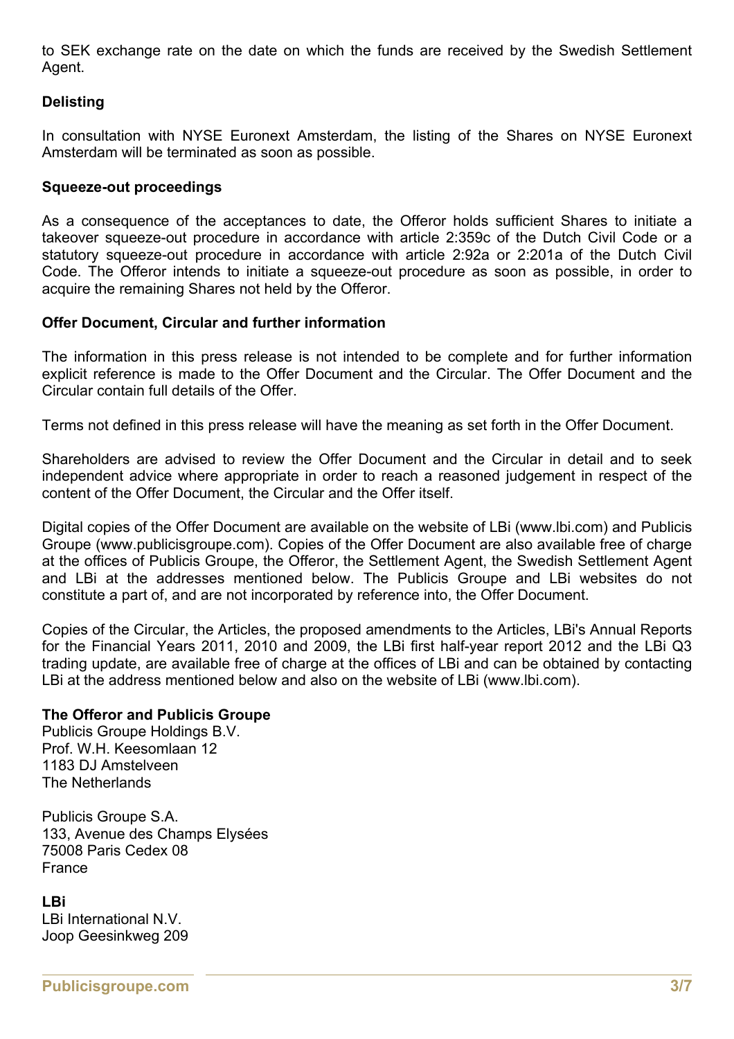to SEK exchange rate on the date on which the funds are received by the Swedish Settlement Agent.

# **Delisting**

In consultation with NYSE Euronext Amsterdam, the listing of the Shares on NYSE Euronext Amsterdam will be terminated as soon as possible.

#### **Squeeze-out proceedings**

As a consequence of the acceptances to date, the Offeror holds sufficient Shares to initiate a takeover squeeze-out procedure in accordance with article 2:359c of the Dutch Civil Code or a statutory squeeze-out procedure in accordance with article 2:92a or 2:201a of the Dutch Civil Code. The Offeror intends to initiate a squeeze-out procedure as soon as possible, in order to acquire the remaining Shares not held by the Offeror.

#### **Offer Document, Circular and further information**

The information in this press release is not intended to be complete and for further information explicit reference is made to the Offer Document and the Circular. The Offer Document and the Circular contain full details of the Offer.

Terms not defined in this press release will have the meaning as set forth in the Offer Document.

Shareholders are advised to review the Offer Document and the Circular in detail and to seek independent advice where appropriate in order to reach a reasoned judgement in respect of the content of the Offer Document, the Circular and the Offer itself.

Digital copies of the Offer Document are available on the website of LBi (www.lbi.com) and Publicis Groupe (www.publicisgroupe.com). Copies of the Offer Document are also available free of charge at the offices of Publicis Groupe, the Offeror, the Settlement Agent, the Swedish Settlement Agent and LBi at the addresses mentioned below. The Publicis Groupe and LBi websites do not constitute a part of, and are not incorporated by reference into, the Offer Document.

Copies of the Circular, the Articles, the proposed amendments to the Articles, LBi's Annual Reports for the Financial Years 2011, 2010 and 2009, the LBi first half-year report 2012 and the LBi Q3 trading update, are available free of charge at the offices of LBi and can be obtained by contacting LBi at the address mentioned below and also on the website of LBi (www.lbi.com).

#### **The Offeror and Publicis Groupe**

Publicis Groupe Holdings B.V. Prof. W.H. Keesomlaan 12 1183 DJ Amstelveen The Netherlands

Publicis Groupe S.A. 133, Avenue des Champs Elysées 75008 Paris Cedex 08 France

#### **LBi**

LBi International N.V. Joop Geesinkweg 209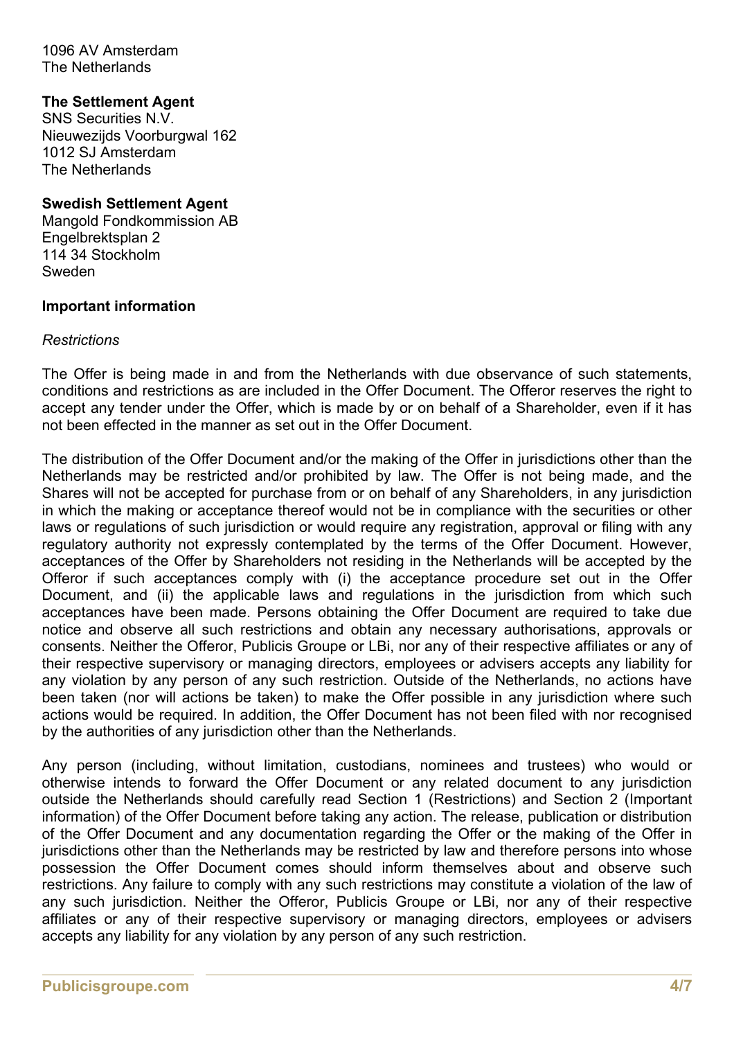1096 AV Amsterdam The Netherlands

#### **The Settlement Agent**

SNS Securities N.V. Nieuwezijds Voorburgwal 162 1012 SJ Amsterdam The Netherlands

#### **Swedish Settlement Agent**

Mangold Fondkommission AB Engelbrektsplan 2 114 34 Stockholm Sweden

#### **Important information**

#### *Restrictions*

The Offer is being made in and from the Netherlands with due observance of such statements, conditions and restrictions as are included in the Offer Document. The Offeror reserves the right to accept any tender under the Offer, which is made by or on behalf of a Shareholder, even if it has not been effected in the manner as set out in the Offer Document.

The distribution of the Offer Document and/or the making of the Offer in jurisdictions other than the Netherlands may be restricted and/or prohibited by law. The Offer is not being made, and the Shares will not be accepted for purchase from or on behalf of any Shareholders, in any jurisdiction in which the making or acceptance thereof would not be in compliance with the securities or other laws or regulations of such jurisdiction or would require any registration, approval or filing with any regulatory authority not expressly contemplated by the terms of the Offer Document. However, acceptances of the Offer by Shareholders not residing in the Netherlands will be accepted by the Offeror if such acceptances comply with (i) the acceptance procedure set out in the Offer Document, and (ii) the applicable laws and regulations in the jurisdiction from which such acceptances have been made. Persons obtaining the Offer Document are required to take due notice and observe all such restrictions and obtain any necessary authorisations, approvals or consents. Neither the Offeror, Publicis Groupe or LBi, nor any of their respective affiliates or any of their respective supervisory or managing directors, employees or advisers accepts any liability for any violation by any person of any such restriction. Outside of the Netherlands, no actions have been taken (nor will actions be taken) to make the Offer possible in any jurisdiction where such actions would be required. In addition, the Offer Document has not been filed with nor recognised by the authorities of any jurisdiction other than the Netherlands.

Any person (including, without limitation, custodians, nominees and trustees) who would or otherwise intends to forward the Offer Document or any related document to any jurisdiction outside the Netherlands should carefully read Section 1 (Restrictions) and Section 2 (Important information) of the Offer Document before taking any action. The release, publication or distribution of the Offer Document and any documentation regarding the Offer or the making of the Offer in jurisdictions other than the Netherlands may be restricted by law and therefore persons into whose possession the Offer Document comes should inform themselves about and observe such restrictions. Any failure to comply with any such restrictions may constitute a violation of the law of any such jurisdiction. Neither the Offeror, Publicis Groupe or LBi, nor any of their respective affiliates or any of their respective supervisory or managing directors, employees or advisers accepts any liability for any violation by any person of any such restriction.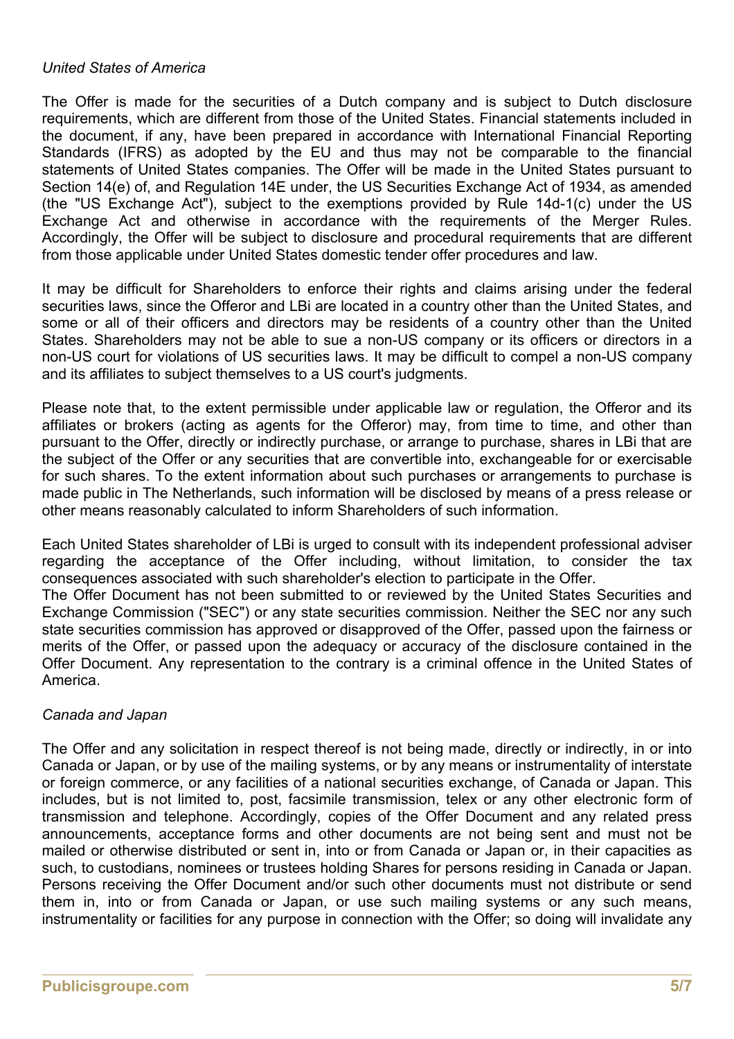#### *United States of America*

The Offer is made for the securities of a Dutch company and is subject to Dutch disclosure requirements, which are different from those of the United States. Financial statements included in the document, if any, have been prepared in accordance with International Financial Reporting Standards (IFRS) as adopted by the EU and thus may not be comparable to the financial statements of United States companies. The Offer will be made in the United States pursuant to Section 14(e) of, and Regulation 14E under, the US Securities Exchange Act of 1934, as amended (the "US Exchange Act"), subject to the exemptions provided by Rule 14d-1(c) under the US Exchange Act and otherwise in accordance with the requirements of the Merger Rules. Accordingly, the Offer will be subject to disclosure and procedural requirements that are different from those applicable under United States domestic tender offer procedures and law.

It may be difficult for Shareholders to enforce their rights and claims arising under the federal securities laws, since the Offeror and LBi are located in a country other than the United States, and some or all of their officers and directors may be residents of a country other than the United States. Shareholders may not be able to sue a non-US company or its officers or directors in a non-US court for violations of US securities laws. It may be difficult to compel a non-US company and its affiliates to subject themselves to a US court's judgments.

Please note that, to the extent permissible under applicable law or regulation, the Offeror and its affiliates or brokers (acting as agents for the Offeror) may, from time to time, and other than pursuant to the Offer, directly or indirectly purchase, or arrange to purchase, shares in LBi that are the subject of the Offer or any securities that are convertible into, exchangeable for or exercisable for such shares. To the extent information about such purchases or arrangements to purchase is made public in The Netherlands, such information will be disclosed by means of a press release or other means reasonably calculated to inform Shareholders of such information.

Each United States shareholder of LBi is urged to consult with its independent professional adviser regarding the acceptance of the Offer including, without limitation, to consider the tax consequences associated with such shareholder's election to participate in the Offer.

The Offer Document has not been submitted to or reviewed by the United States Securities and Exchange Commission ("SEC") or any state securities commission. Neither the SEC nor any such state securities commission has approved or disapproved of the Offer, passed upon the fairness or merits of the Offer, or passed upon the adequacy or accuracy of the disclosure contained in the Offer Document. Any representation to the contrary is a criminal offence in the United States of America.

# *Canada and Japan*

The Offer and any solicitation in respect thereof is not being made, directly or indirectly, in or into Canada or Japan, or by use of the mailing systems, or by any means or instrumentality of interstate or foreign commerce, or any facilities of a national securities exchange, of Canada or Japan. This includes, but is not limited to, post, facsimile transmission, telex or any other electronic form of transmission and telephone. Accordingly, copies of the Offer Document and any related press announcements, acceptance forms and other documents are not being sent and must not be mailed or otherwise distributed or sent in, into or from Canada or Japan or, in their capacities as such, to custodians, nominees or trustees holding Shares for persons residing in Canada or Japan. Persons receiving the Offer Document and/or such other documents must not distribute or send them in, into or from Canada or Japan, or use such mailing systems or any such means, instrumentality or facilities for any purpose in connection with the Offer; so doing will invalidate any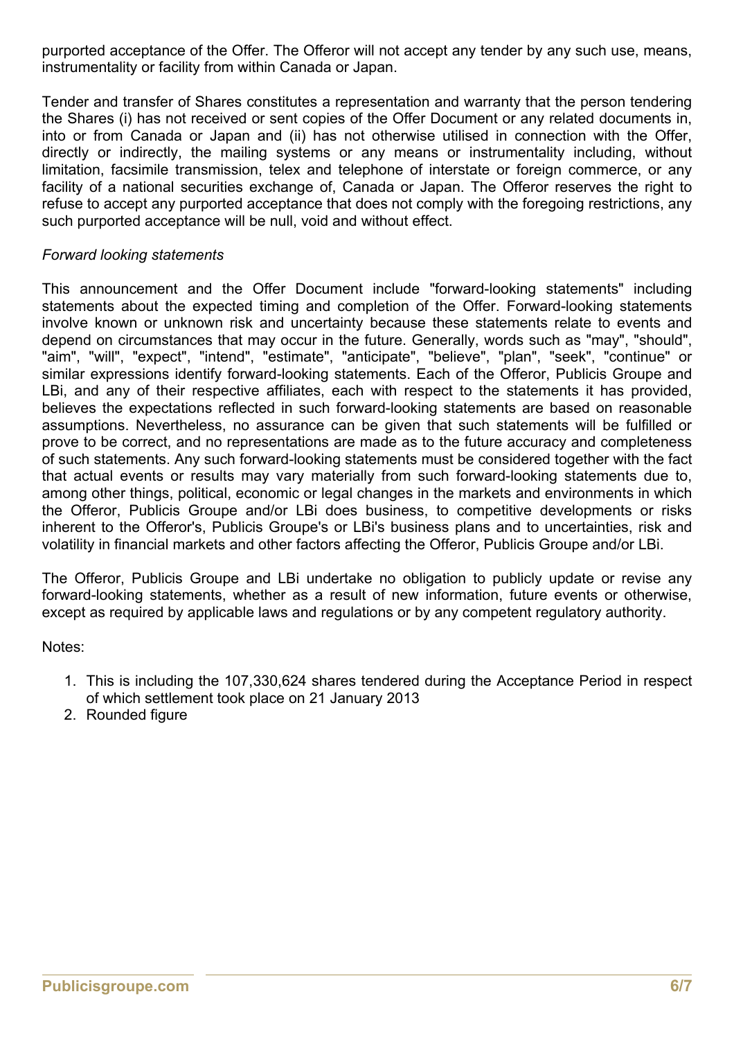purported acceptance of the Offer. The Offeror will not accept any tender by any such use, means, instrumentality or facility from within Canada or Japan.

Tender and transfer of Shares constitutes a representation and warranty that the person tendering the Shares (i) has not received or sent copies of the Offer Document or any related documents in, into or from Canada or Japan and (ii) has not otherwise utilised in connection with the Offer, directly or indirectly, the mailing systems or any means or instrumentality including, without limitation, facsimile transmission, telex and telephone of interstate or foreign commerce, or any facility of a national securities exchange of. Canada or Japan. The Offeror reserves the right to refuse to accept any purported acceptance that does not comply with the foregoing restrictions, any such purported acceptance will be null, void and without effect.

#### *Forward looking statements*

This announcement and the Offer Document include "forward-looking statements" including statements about the expected timing and completion of the Offer. Forward-looking statements involve known or unknown risk and uncertainty because these statements relate to events and depend on circumstances that may occur in the future. Generally, words such as "may", "should", "aim", "will", "expect", "intend", "estimate", "anticipate", "believe", "plan", "seek", "continue" or similar expressions identify forward-looking statements. Each of the Offeror, Publicis Groupe and LBi, and any of their respective affiliates, each with respect to the statements it has provided, believes the expectations reflected in such forward-looking statements are based on reasonable assumptions. Nevertheless, no assurance can be given that such statements will be fulfilled or prove to be correct, and no representations are made as to the future accuracy and completeness of such statements. Any such forward-looking statements must be considered together with the fact that actual events or results may vary materially from such forward-looking statements due to, among other things, political, economic or legal changes in the markets and environments in which the Offeror, Publicis Groupe and/or LBi does business, to competitive developments or risks inherent to the Offeror's, Publicis Groupe's or LBi's business plans and to uncertainties, risk and volatility in financial markets and other factors affecting the Offeror, Publicis Groupe and/or LBi.

The Offeror, Publicis Groupe and LBi undertake no obligation to publicly update or revise any forward-looking statements, whether as a result of new information, future events or otherwise, except as required by applicable laws and regulations or by any competent regulatory authority.

Notes:

- 1. This is including the 107,330,624 shares tendered during the Acceptance Period in respect of which settlement took place on 21 January 2013
- 2. Rounded figure